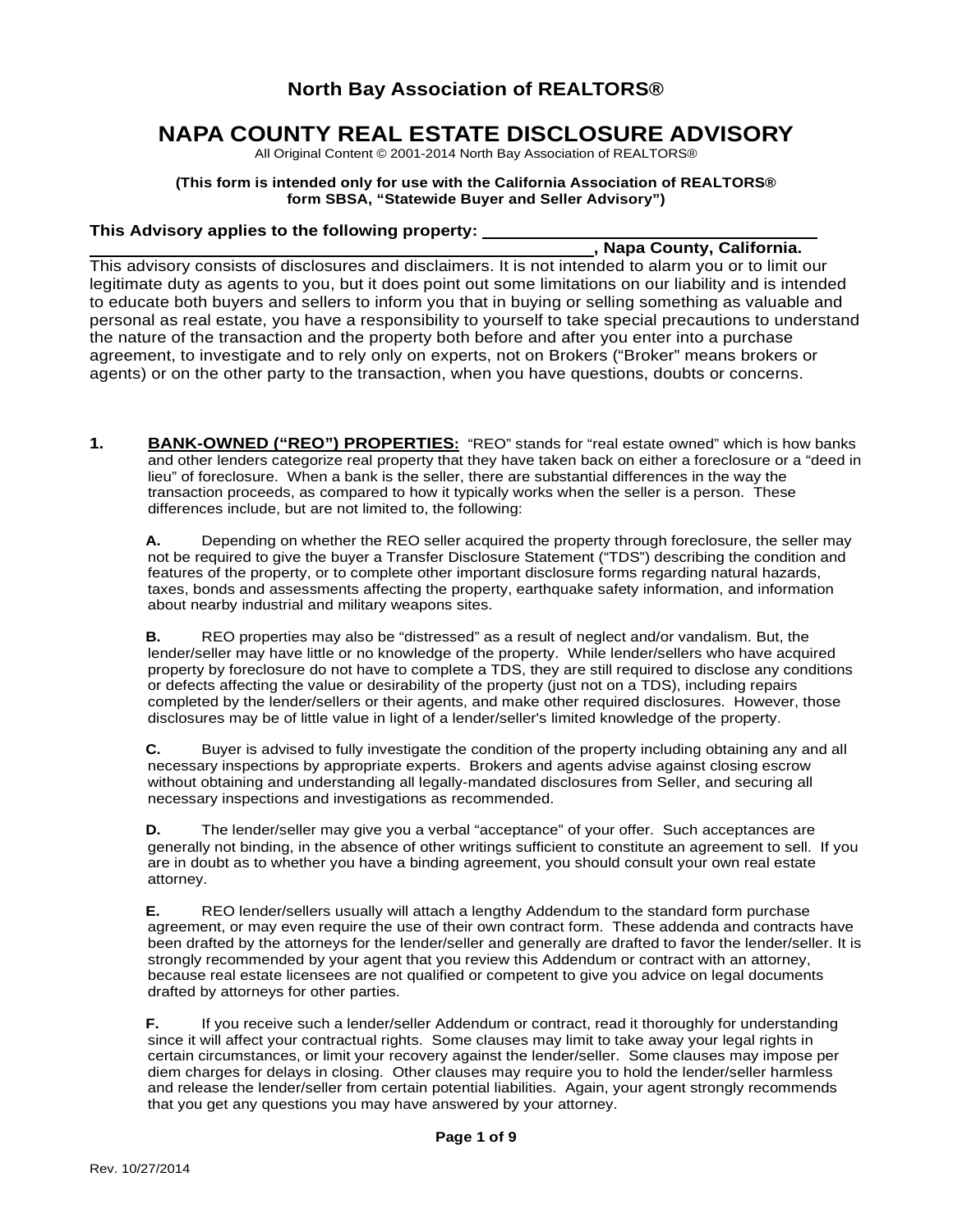## **North Bay Association of REALTORS®**

# **NAPA COUNTY REAL ESTATE DISCLOSURE ADVISORY**

All Original Content © 2001-2014 North Bay Association of REALTORS®

#### **(This form is intended only for use with the California Association of REALTORS® form SBSA, "Statewide Buyer and Seller Advisory")**

#### **This Advisory applies to the following property:**

## **, Napa County, California.**

This advisory consists of disclosures and disclaimers. It is not intended to alarm you or to limit our legitimate duty as agents to you, but it does point out some limitations on our liability and is intended to educate both buyers and sellers to inform you that in buying or selling something as valuable and personal as real estate, you have a responsibility to yourself to take special precautions to understand the nature of the transaction and the property both before and after you enter into a purchase agreement, to investigate and to rely only on experts, not on Brokers ("Broker" means brokers or agents) or on the other party to the transaction, when you have questions, doubts or concerns.

**1. BANK-OWNED ("REO") PROPERTIES:** "REO" stands for "real estate owned" which is how banks and other lenders categorize real property that they have taken back on either a foreclosure or a "deed in lieu" of foreclosure. When a bank is the seller, there are substantial differences in the way the transaction proceeds, as compared to how it typically works when the seller is a person. These differences include, but are not limited to, the following:

**A.** Depending on whether the REO seller acquired the property through foreclosure, the seller may not be required to give the buyer a Transfer Disclosure Statement ("TDS") describing the condition and features of the property, or to complete other important disclosure forms regarding natural hazards, taxes, bonds and assessments affecting the property, earthquake safety information, and information about nearby industrial and military weapons sites.

**B.** REO properties may also be "distressed" as a result of neglect and/or vandalism. But, the lender/seller may have little or no knowledge of the property. While lender/sellers who have acquired property by foreclosure do not have to complete a TDS, they are still required to disclose any conditions or defects affecting the value or desirability of the property (just not on a TDS), including repairs completed by the lender/sellers or their agents, and make other required disclosures. However, those disclosures may be of little value in light of a lender/seller's limited knowledge of the property.

**C.** Buyer is advised to fully investigate the condition of the property including obtaining any and all necessary inspections by appropriate experts. Brokers and agents advise against closing escrow without obtaining and understanding all legally-mandated disclosures from Seller, and securing all necessary inspections and investigations as recommended.

**D.** The lender/seller may give you a verbal "acceptance" of your offer. Such acceptances are generally not binding, in the absence of other writings sufficient to constitute an agreement to sell. If you are in doubt as to whether you have a binding agreement, you should consult your own real estate attorney.

**E.** REO lender/sellers usually will attach a lengthy Addendum to the standard form purchase agreement, or may even require the use of their own contract form. These addenda and contracts have been drafted by the attorneys for the lender/seller and generally are drafted to favor the lender/seller. It is strongly recommended by your agent that you review this Addendum or contract with an attorney, because real estate licensees are not qualified or competent to give you advice on legal documents drafted by attorneys for other parties.

**F.** If you receive such a lender/seller Addendum or contract, read it thoroughly for understanding since it will affect your contractual rights. Some clauses may limit to take away your legal rights in certain circumstances, or limit your recovery against the lender/seller. Some clauses may impose per diem charges for delays in closing. Other clauses may require you to hold the lender/seller harmless and release the lender/seller from certain potential liabilities. Again, your agent strongly recommends that you get any questions you may have answered by your attorney.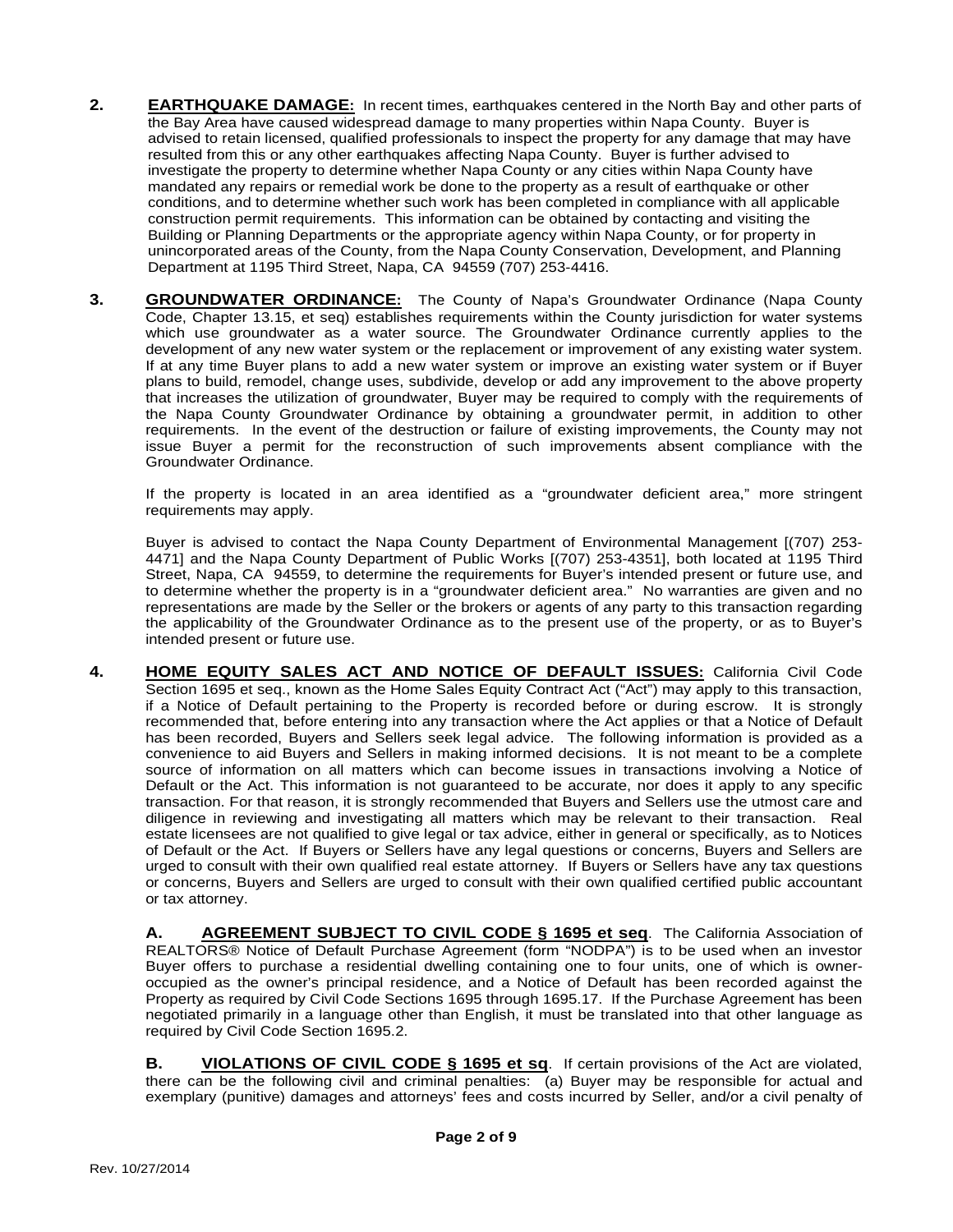- **2. EARTHQUAKE DAMAGE:** In recent times, earthquakes centered in the North Bay and other parts of the Bay Area have caused widespread damage to many properties within Napa County. Buyer is advised to retain licensed, qualified professionals to inspect the property for any damage that may have resulted from this or any other earthquakes affecting Napa County. Buyer is further advised to investigate the property to determine whether Napa County or any cities within Napa County have mandated any repairs or remedial work be done to the property as a result of earthquake or other conditions, and to determine whether such work has been completed in compliance with all applicable construction permit requirements. This information can be obtained by contacting and visiting the Building or Planning Departments or the appropriate agency within Napa County, or for property in unincorporated areas of the County, from the Napa County Conservation, Development, and Planning Department at 1195 Third Street, Napa, CA 94559 (707) 253-4416.
- **3. GROUNDWATER ORDINANCE:** The County of Napa's Groundwater Ordinance (Napa County Code, Chapter 13.15, et seq) establishes requirements within the County jurisdiction for water systems which use groundwater as a water source. The Groundwater Ordinance currently applies to the development of any new water system or the replacement or improvement of any existing water system. If at any time Buyer plans to add a new water system or improve an existing water system or if Buyer plans to build, remodel, change uses, subdivide, develop or add any improvement to the above property that increases the utilization of groundwater, Buyer may be required to comply with the requirements of the Napa County Groundwater Ordinance by obtaining a groundwater permit, in addition to other requirements. In the event of the destruction or failure of existing improvements, the County may not issue Buyer a permit for the reconstruction of such improvements absent compliance with the Groundwater Ordinance.

If the property is located in an area identified as a "groundwater deficient area," more stringent requirements may apply.

Buyer is advised to contact the Napa County Department of Environmental Management [(707) 253- 4471] and the Napa County Department of Public Works [(707) 253-4351], both located at 1195 Third Street, Napa, CA 94559, to determine the requirements for Buyer's intended present or future use, and to determine whether the property is in a "groundwater deficient area." No warranties are given and no representations are made by the Seller or the brokers or agents of any party to this transaction regarding the applicability of the Groundwater Ordinance as to the present use of the property, or as to Buyer's intended present or future use.

**4. HOME EQUITY SALES ACT AND NOTICE OF DEFAULT ISSUES:** California Civil Code Section 1695 et seq., known as the Home Sales Equity Contract Act ("Act") may apply to this transaction, if a Notice of Default pertaining to the Property is recorded before or during escrow. It is strongly recommended that, before entering into any transaction where the Act applies or that a Notice of Default has been recorded, Buyers and Sellers seek legal advice. The following information is provided as a convenience to aid Buyers and Sellers in making informed decisions. It is not meant to be a complete source of information on all matters which can become issues in transactions involving a Notice of Default or the Act. This information is not guaranteed to be accurate, nor does it apply to any specific transaction. For that reason, it is strongly recommended that Buyers and Sellers use the utmost care and diligence in reviewing and investigating all matters which may be relevant to their transaction. Real estate licensees are not qualified to give legal or tax advice, either in general or specifically, as to Notices of Default or the Act. If Buyers or Sellers have any legal questions or concerns, Buyers and Sellers are urged to consult with their own qualified real estate attorney. If Buyers or Sellers have any tax questions or concerns, Buyers and Sellers are urged to consult with their own qualified certified public accountant or tax attorney.

**A. AGREEMENT SUBJECT TO CIVIL CODE § 1695 et seq**. The California Association of REALTORS® Notice of Default Purchase Agreement (form "NODPA") is to be used when an investor Buyer offers to purchase a residential dwelling containing one to four units, one of which is owneroccupied as the owner's principal residence, and a Notice of Default has been recorded against the Property as required by Civil Code Sections 1695 through 1695.17. If the Purchase Agreement has been negotiated primarily in a language other than English, it must be translated into that other language as required by Civil Code Section 1695.2.

**B. VIOLATIONS OF CIVIL CODE § 1695 et sq**. If certain provisions of the Act are violated, there can be the following civil and criminal penalties: (a) Buyer may be responsible for actual and exemplary (punitive) damages and attorneys' fees and costs incurred by Seller, and/or a civil penalty of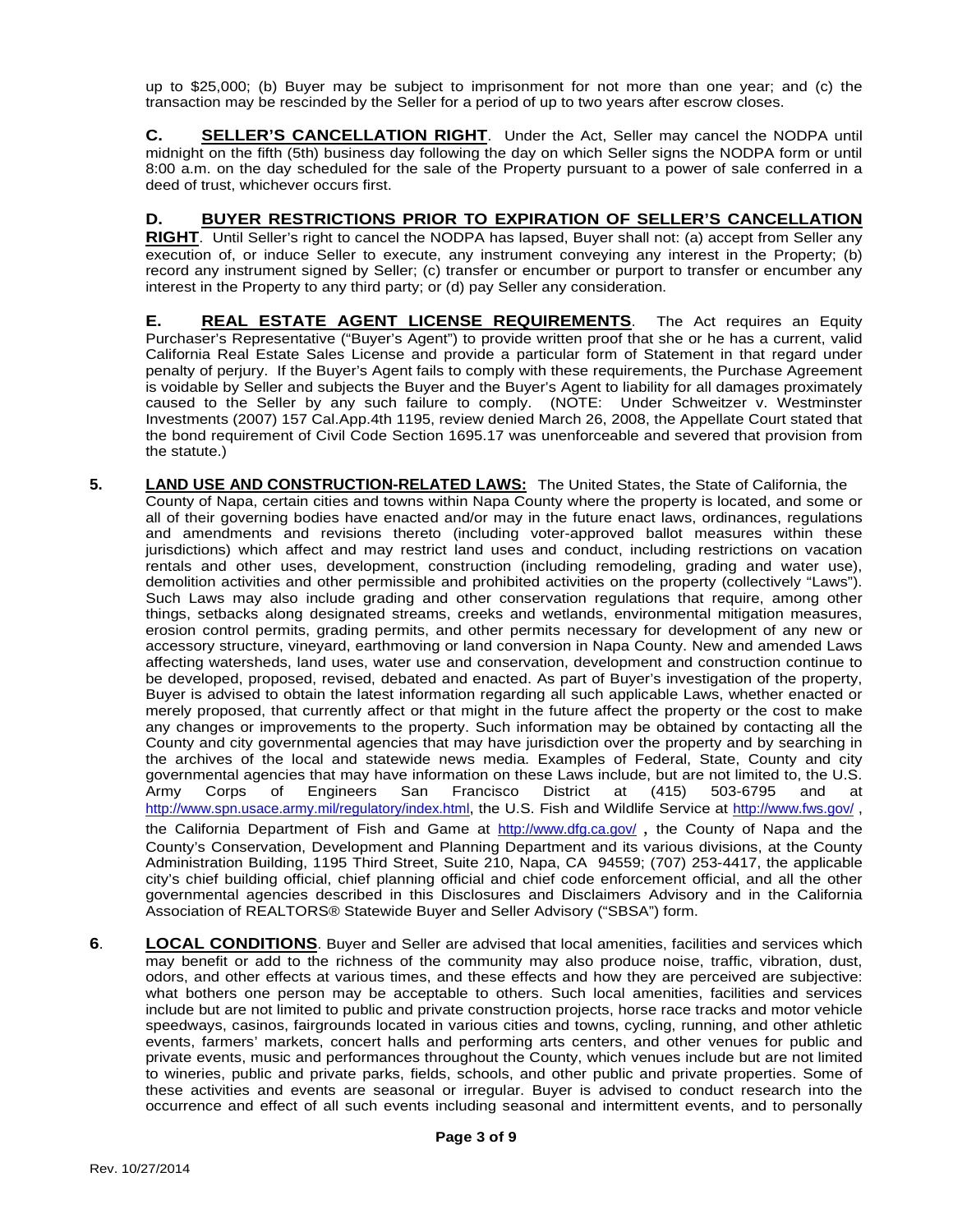up to \$25,000; (b) Buyer may be subject to imprisonment for not more than one year; and (c) the transaction may be rescinded by the Seller for a period of up to two years after escrow closes.

**C. SELLER'S CANCELLATION RIGHT**. Under the Act, Seller may cancel the NODPA until midnight on the fifth (5th) business day following the day on which Seller signs the NODPA form or until 8:00 a.m. on the day scheduled for the sale of the Property pursuant to a power of sale conferred in a deed of trust, whichever occurs first.

### **D. BUYER RESTRICTIONS PRIOR TO EXPIRATION OF SELLER'S CANCELLATION**

**RIGHT**. Until Seller's right to cancel the NODPA has lapsed, Buyer shall not: (a) accept from Seller any execution of, or induce Seller to execute, any instrument conveying any interest in the Property; (b) record any instrument signed by Seller; (c) transfer or encumber or purport to transfer or encumber any interest in the Property to any third party; or (d) pay Seller any consideration.

**E. REAL ESTATE AGENT LICENSE REQUIREMENTS**. The Act requires an Equity Purchaser's Representative ("Buyer's Agent") to provide written proof that she or he has a current, valid California Real Estate Sales License and provide a particular form of Statement in that regard under penalty of perjury. If the Buyer's Agent fails to comply with these requirements, the Purchase Agreement is voidable by Seller and subjects the Buyer and the Buyer's Agent to liability for all damages proximately caused to the Seller by any such failure to comply. (NOTE: Under Schweitzer v. Westminster Investments (2007) 157 Cal.App.4th 1195, review denied March 26, 2008, the Appellate Court stated that the bond requirement of Civil Code Section 1695.17 was unenforceable and severed that provision from the statute.)

- **5. LAND USE AND CONSTRUCTION-RELATED LAWS:** The United States, the State of California, the County of Napa, certain cities and towns within Napa County where the property is located, and some or all of their governing bodies have enacted and/or may in the future enact laws, ordinances, regulations and amendments and revisions thereto (including voter-approved ballot measures within these jurisdictions) which affect and may restrict land uses and conduct, including restrictions on vacation rentals and other uses, development, construction (including remodeling, grading and water use), demolition activities and other permissible and prohibited activities on the property (collectively "Laws"). Such Laws may also include grading and other conservation regulations that require, among other things, setbacks along designated streams, creeks and wetlands, environmental mitigation measures, erosion control permits, grading permits, and other permits necessary for development of any new or accessory structure, vineyard, earthmoving or land conversion in Napa County. New and amended Laws affecting watersheds, land uses, water use and conservation, development and construction continue to be developed, proposed, revised, debated and enacted. As part of Buyer's investigation of the property, Buyer is advised to obtain the latest information regarding all such applicable Laws, whether enacted or merely proposed, that currently affect or that might in the future affect the property or the cost to make any changes or improvements to the property. Such information may be obtained by contacting all the County and city governmental agencies that may have jurisdiction over the property and by searching in the archives of the local and statewide news media. Examples of Federal, State, County and city governmental agencies that may have information on these Laws include, but are not limited to, the U.S.<br>Army Corps of Engineers San Francisco District at (415) 503-6795 and at Army Corps of Engineers San Francisco District at (415) 503-6795 and at http://www.spn.usace.army.mil/regulatory/index.html, the U.S. Fish and Wildlife Service at http://www.fws.gov/ , the California Department of Fish and Game at http://www.dfg.ca.gov/, the County of Napa and the County's Conservation, Development and Planning Department and its various divisions, at the County Administration Building, 1195 Third Street, Suite 210, Napa, CA 94559; (707) 253-4417, the applicable city's chief building official, chief planning official and chief code enforcement official, and all the other governmental agencies described in this Disclosures and Disclaimers Advisory and in the California Association of REALTORS® Statewide Buyer and Seller Advisory ("SBSA") form.
- **6**. **LOCAL CONDITIONS**. Buyer and Seller are advised that local amenities, facilities and services which may benefit or add to the richness of the community may also produce noise, traffic, vibration, dust, odors, and other effects at various times, and these effects and how they are perceived are subjective: what bothers one person may be acceptable to others. Such local amenities, facilities and services include but are not limited to public and private construction projects, horse race tracks and motor vehicle speedways, casinos, fairgrounds located in various cities and towns, cycling, running, and other athletic events, farmers' markets, concert halls and performing arts centers, and other venues for public and private events, music and performances throughout the County, which venues include but are not limited to wineries, public and private parks, fields, schools, and other public and private properties. Some of these activities and events are seasonal or irregular. Buyer is advised to conduct research into the occurrence and effect of all such events including seasonal and intermittent events, and to personally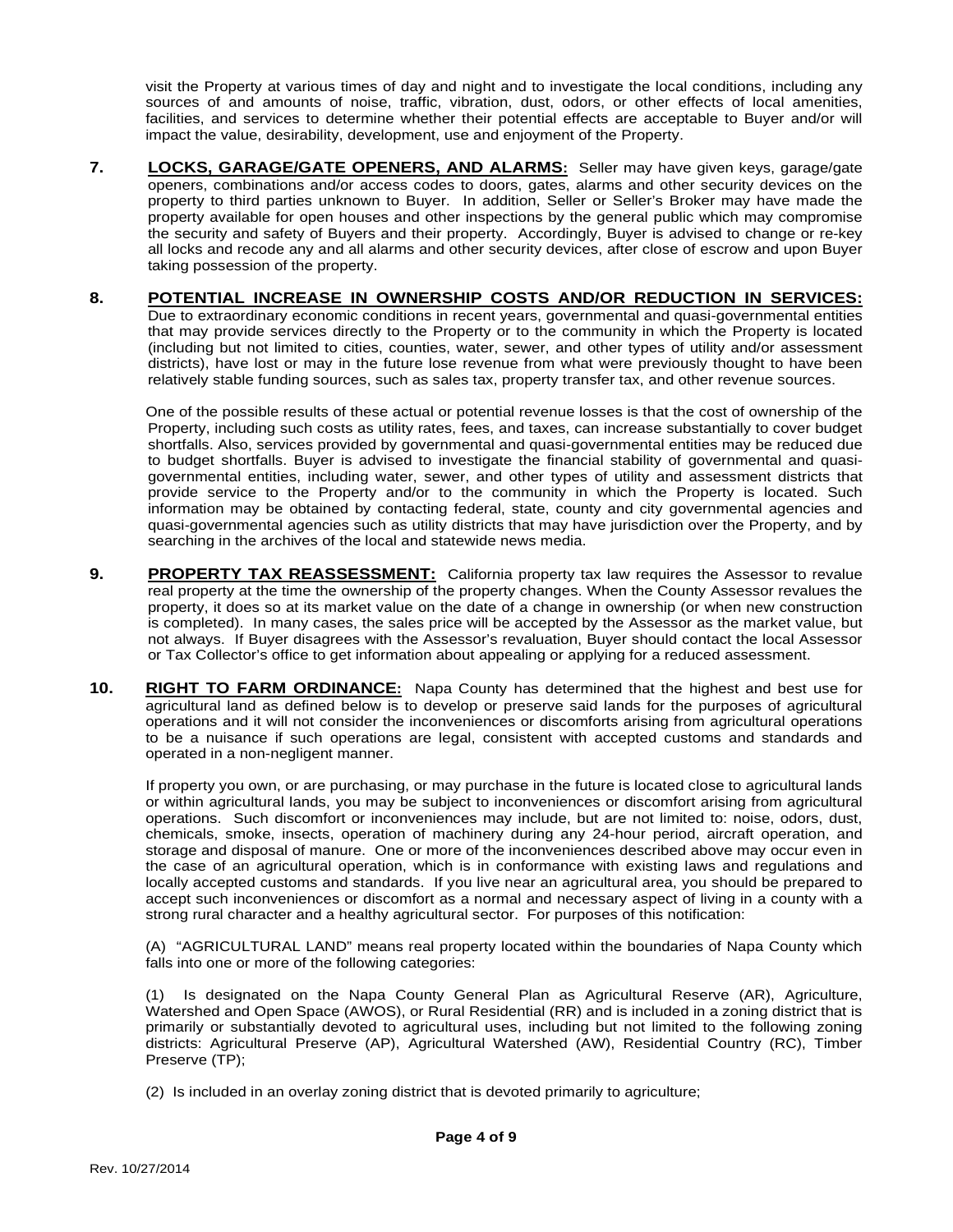visit the Property at various times of day and night and to investigate the local conditions, including any sources of and amounts of noise, traffic, vibration, dust, odors, or other effects of local amenities, facilities, and services to determine whether their potential effects are acceptable to Buyer and/or will impact the value, desirability, development, use and enjoyment of the Property.

**7. LOCKS, GARAGE/GATE OPENERS, AND ALARMS:** Seller may have given keys, garage/gate openers, combinations and/or access codes to doors, gates, alarms and other security devices on the property to third parties unknown to Buyer. In addition, Seller or Seller's Broker may have made the property available for open houses and other inspections by the general public which may compromise the security and safety of Buyers and their property. Accordingly, Buyer is advised to change or re-key all locks and recode any and all alarms and other security devices, after close of escrow and upon Buyer taking possession of the property.

#### **8. POTENTIAL INCREASE IN OWNERSHIP COSTS AND/OR REDUCTION IN SERVICES:**  Due to extraordinary economic conditions in recent years, governmental and quasi-governmental entities that may provide services directly to the Property or to the community in which the Property is located (including but not limited to cities, counties, water, sewer, and other types of utility and/or assessment districts), have lost or may in the future lose revenue from what were previously thought to have been relatively stable funding sources, such as sales tax, property transfer tax, and other revenue sources.

One of the possible results of these actual or potential revenue losses is that the cost of ownership of the Property, including such costs as utility rates, fees, and taxes, can increase substantially to cover budget shortfalls. Also, services provided by governmental and quasi-governmental entities may be reduced due to budget shortfalls. Buyer is advised to investigate the financial stability of governmental and quasigovernmental entities, including water, sewer, and other types of utility and assessment districts that provide service to the Property and/or to the community in which the Property is located. Such information may be obtained by contacting federal, state, county and city governmental agencies and quasi-governmental agencies such as utility districts that may have jurisdiction over the Property, and by searching in the archives of the local and statewide news media.

- **9. PROPERTY TAX REASSESSMENT:** California property tax law requires the Assessor to revalue real property at the time the ownership of the property changes. When the County Assessor revalues the property, it does so at its market value on the date of a change in ownership (or when new construction is completed). In many cases, the sales price will be accepted by the Assessor as the market value, but not always. If Buyer disagrees with the Assessor's revaluation, Buyer should contact the local Assessor or Tax Collector's office to get information about appealing or applying for a reduced assessment.
- **10. RIGHT TO FARM ORDINANCE:** Napa County has determined that the highest and best use for agricultural land as defined below is to develop or preserve said lands for the purposes of agricultural operations and it will not consider the inconveniences or discomforts arising from agricultural operations to be a nuisance if such operations are legal, consistent with accepted customs and standards and operated in a non-negligent manner.

If property you own, or are purchasing, or may purchase in the future is located close to agricultural lands or within agricultural lands, you may be subject to inconveniences or discomfort arising from agricultural operations. Such discomfort or inconveniences may include, but are not limited to: noise, odors, dust, chemicals, smoke, insects, operation of machinery during any 24-hour period, aircraft operation, and storage and disposal of manure. One or more of the inconveniences described above may occur even in the case of an agricultural operation, which is in conformance with existing laws and regulations and locally accepted customs and standards. If you live near an agricultural area, you should be prepared to accept such inconveniences or discomfort as a normal and necessary aspect of living in a county with a strong rural character and a healthy agricultural sector. For purposes of this notification:

(A) "AGRICULTURAL LAND" means real property located within the boundaries of Napa County which falls into one or more of the following categories:

(1) Is designated on the Napa County General Plan as Agricultural Reserve (AR), Agriculture, Watershed and Open Space (AWOS), or Rural Residential (RR) and is included in a zoning district that is primarily or substantially devoted to agricultural uses, including but not limited to the following zoning districts: Agricultural Preserve (AP), Agricultural Watershed (AW), Residential Country (RC), Timber Preserve (TP);

(2) Is included in an overlay zoning district that is devoted primarily to agriculture;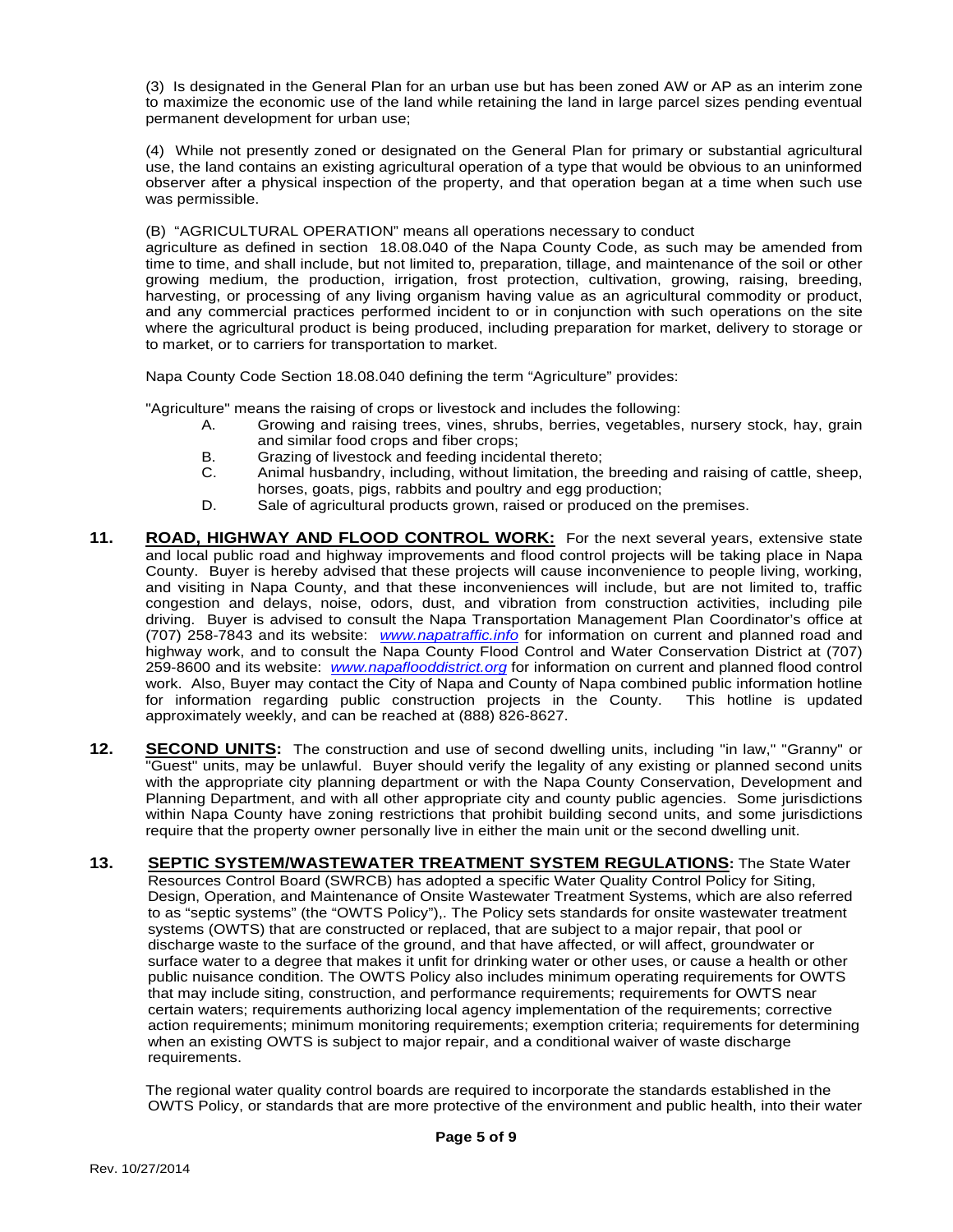(3) Is designated in the General Plan for an urban use but has been zoned AW or AP as an interim zone to maximize the economic use of the land while retaining the land in large parcel sizes pending eventual permanent development for urban use;

(4) While not presently zoned or designated on the General Plan for primary or substantial agricultural use, the land contains an existing agricultural operation of a type that would be obvious to an uninformed observer after a physical inspection of the property, and that operation began at a time when such use was permissible.

(B) "AGRICULTURAL OPERATION" means all operations necessary to conduct

agriculture as defined in section 18.08.040 of the Napa County Code, as such may be amended from time to time, and shall include, but not limited to, preparation, tillage, and maintenance of the soil or other growing medium, the production, irrigation, frost protection, cultivation, growing, raising, breeding, harvesting, or processing of any living organism having value as an agricultural commodity or product, and any commercial practices performed incident to or in conjunction with such operations on the site where the agricultural product is being produced, including preparation for market, delivery to storage or to market, or to carriers for transportation to market.

Napa County Code Section 18.08.040 defining the term "Agriculture" provides:

"Agriculture" means the raising of crops or livestock and includes the following:

- A. Growing and raising trees, vines, shrubs, berries, vegetables, nursery stock, hay, grain and similar food crops and fiber crops;
- B. Grazing of livestock and feeding incidental thereto;<br>C. Animal husbandry, including, without limitation, the
- Animal husbandry, including, without limitation, the breeding and raising of cattle, sheep, horses, goats, pigs, rabbits and poultry and egg production;
- D. Sale of agricultural products grown, raised or produced on the premises.
- **11. ROAD, HIGHWAY AND FLOOD CONTROL WORK:** For the next several years, extensive state and local public road and highway improvements and flood control projects will be taking place in Napa County. Buyer is hereby advised that these projects will cause inconvenience to people living, working, and visiting in Napa County, and that these inconveniences will include, but are not limited to, traffic congestion and delays, noise, odors, dust, and vibration from construction activities, including pile driving. Buyer is advised to consult the Napa Transportation Management Plan Coordinator's office at (707) 258-7843 and its website: *www.napatraffic.info* for information on current and planned road and highway work, and to consult the Napa County Flood Control and Water Conservation District at (707) 259-8600 and its website: *www.napaflooddistrict.org* for information on current and planned flood control work. Also, Buyer may contact the City of Napa and County of Napa combined public information hotline<br>for information regarding public construction projects in the County. This hotline is updated for information regarding public construction projects in the County. approximately weekly, and can be reached at (888) 826-8627.
- **12. SECOND UNITS:** The construction and use of second dwelling units, including "in law," "Granny" or "Guest" units, may be unlawful. Buyer should verify the legality of any existing or planned second units with the appropriate city planning department or with the Napa County Conservation, Development and Planning Department, and with all other appropriate city and county public agencies. Some jurisdictions within Napa County have zoning restrictions that prohibit building second units, and some jurisdictions require that the property owner personally live in either the main unit or the second dwelling unit.
- **13. SEPTIC SYSTEM/WASTEWATER TREATMENT SYSTEM REGULATIONS:** The State Water Resources Control Board (SWRCB) has adopted a specific Water Quality Control Policy for Siting, Design, Operation, and Maintenance of Onsite Wastewater Treatment Systems, which are also referred to as "septic systems" (the "OWTS Policy"),. The Policy sets standards for onsite wastewater treatment systems (OWTS) that are constructed or replaced, that are subject to a major repair, that pool or discharge waste to the surface of the ground, and that have affected, or will affect, groundwater or surface water to a degree that makes it unfit for drinking water or other uses, or cause a health or other public nuisance condition. The OWTS Policy also includes minimum operating requirements for OWTS that may include siting, construction, and performance requirements; requirements for OWTS near certain waters; requirements authorizing local agency implementation of the requirements; corrective action requirements; minimum monitoring requirements; exemption criteria; requirements for determining when an existing OWTS is subject to major repair, and a conditional waiver of waste discharge requirements.

The regional water quality control boards are required to incorporate the standards established in the OWTS Policy, or standards that are more protective of the environment and public health, into their water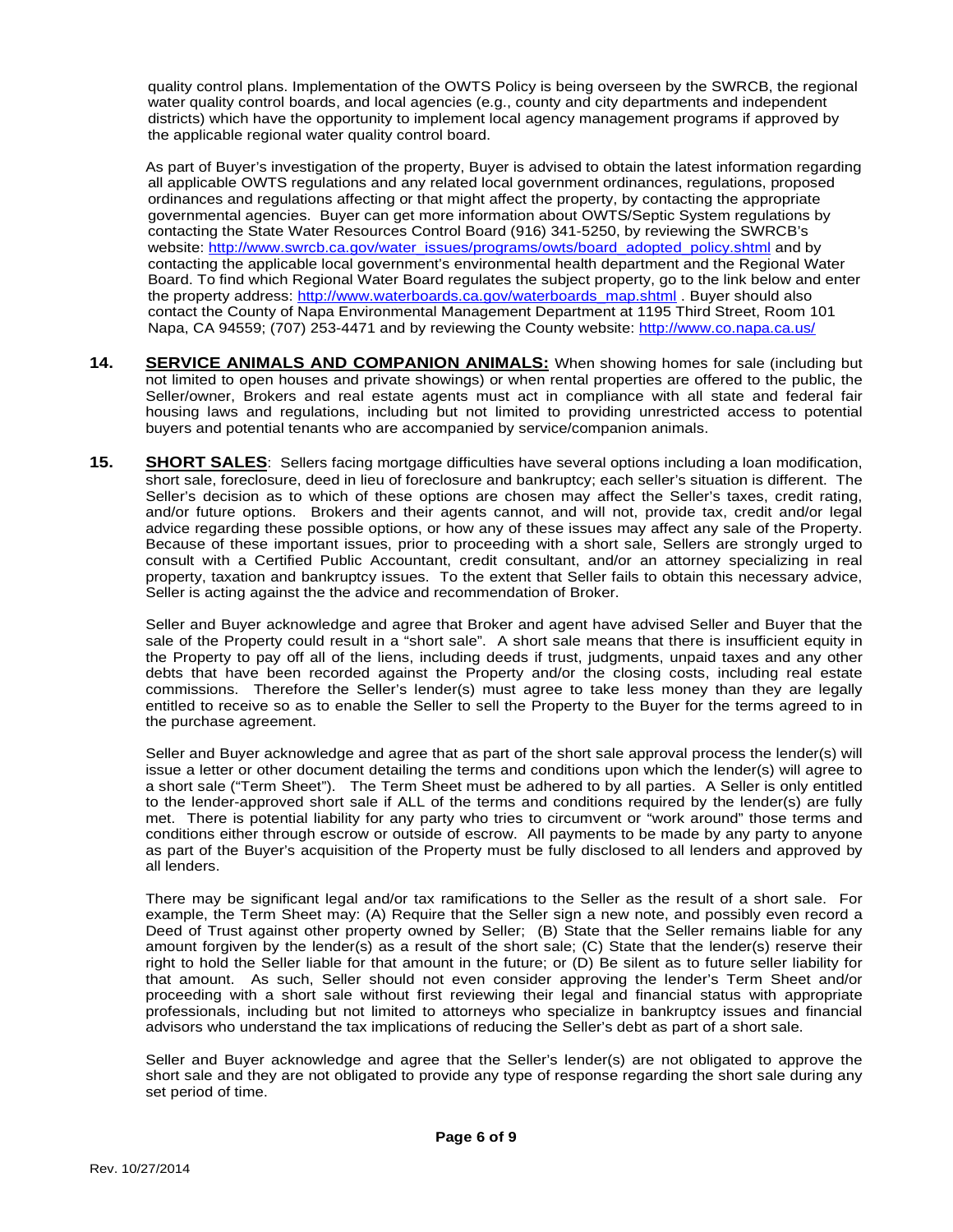quality control plans. Implementation of the OWTS Policy is being overseen by the SWRCB, the regional water quality control boards, and local agencies (e.g., county and city departments and independent districts) which have the opportunity to implement local agency management programs if approved by the applicable regional water quality control board.

As part of Buyer's investigation of the property, Buyer is advised to obtain the latest information regarding all applicable OWTS regulations and any related local government ordinances, regulations, proposed ordinances and regulations affecting or that might affect the property, by contacting the appropriate governmental agencies. Buyer can get more information about OWTS/Septic System regulations by contacting the State Water Resources Control Board (916) 341-5250, by reviewing the SWRCB's website: http://www.swrcb.ca.gov/water\_issues/programs/owts/board\_adopted\_policy.shtml and by contacting the applicable local government's environmental health department and the Regional Water Board. To find which Regional Water Board regulates the subject property, go to the link below and enter the property address: http://www.waterboards.ca.gov/waterboards\_map.shtml . Buyer should also contact the County of Napa Environmental Management Department at 1195 Third Street, Room 101 Napa, CA 94559; (707) 253-4471 and by reviewing the County website: http://www.co.napa.ca.us/

- 14. **SERVICE ANIMALS AND COMPANION ANIMALS:** When showing homes for sale (including but not limited to open houses and private showings) or when rental properties are offered to the public, the Seller/owner, Brokers and real estate agents must act in compliance with all state and federal fair housing laws and regulations, including but not limited to providing unrestricted access to potential buyers and potential tenants who are accompanied by service/companion animals.
- **15. SHORT SALES**: Sellers facing mortgage difficulties have several options including a loan modification, short sale, foreclosure, deed in lieu of foreclosure and bankruptcy; each seller's situation is different. The Seller's decision as to which of these options are chosen may affect the Seller's taxes, credit rating, and/or future options. Brokers and their agents cannot, and will not, provide tax, credit and/or legal advice regarding these possible options, or how any of these issues may affect any sale of the Property. Because of these important issues, prior to proceeding with a short sale, Sellers are strongly urged to consult with a Certified Public Accountant, credit consultant, and/or an attorney specializing in real property, taxation and bankruptcy issues. To the extent that Seller fails to obtain this necessary advice, Seller is acting against the the advice and recommendation of Broker.

Seller and Buyer acknowledge and agree that Broker and agent have advised Seller and Buyer that the sale of the Property could result in a "short sale". A short sale means that there is insufficient equity in the Property to pay off all of the liens, including deeds if trust, judgments, unpaid taxes and any other debts that have been recorded against the Property and/or the closing costs, including real estate commissions. Therefore the Seller's lender(s) must agree to take less money than they are legally entitled to receive so as to enable the Seller to sell the Property to the Buyer for the terms agreed to in the purchase agreement.

Seller and Buyer acknowledge and agree that as part of the short sale approval process the lender(s) will issue a letter or other document detailing the terms and conditions upon which the lender(s) will agree to a short sale ("Term Sheet"). The Term Sheet must be adhered to by all parties. A Seller is only entitled to the lender-approved short sale if ALL of the terms and conditions required by the lender(s) are fully met. There is potential liability for any party who tries to circumvent or "work around" those terms and conditions either through escrow or outside of escrow. All payments to be made by any party to anyone as part of the Buyer's acquisition of the Property must be fully disclosed to all lenders and approved by all lenders.

There may be significant legal and/or tax ramifications to the Seller as the result of a short sale. For example, the Term Sheet may: (A) Require that the Seller sign a new note, and possibly even record a Deed of Trust against other property owned by Seller; (B) State that the Seller remains liable for any amount forgiven by the lender(s) as a result of the short sale; (C) State that the lender(s) reserve their right to hold the Seller liable for that amount in the future; or (D) Be silent as to future seller liability for that amount. As such, Seller should not even consider approving the lender's Term Sheet and/or proceeding with a short sale without first reviewing their legal and financial status with appropriate professionals, including but not limited to attorneys who specialize in bankruptcy issues and financial advisors who understand the tax implications of reducing the Seller's debt as part of a short sale.

Seller and Buyer acknowledge and agree that the Seller's lender(s) are not obligated to approve the short sale and they are not obligated to provide any type of response regarding the short sale during any set period of time.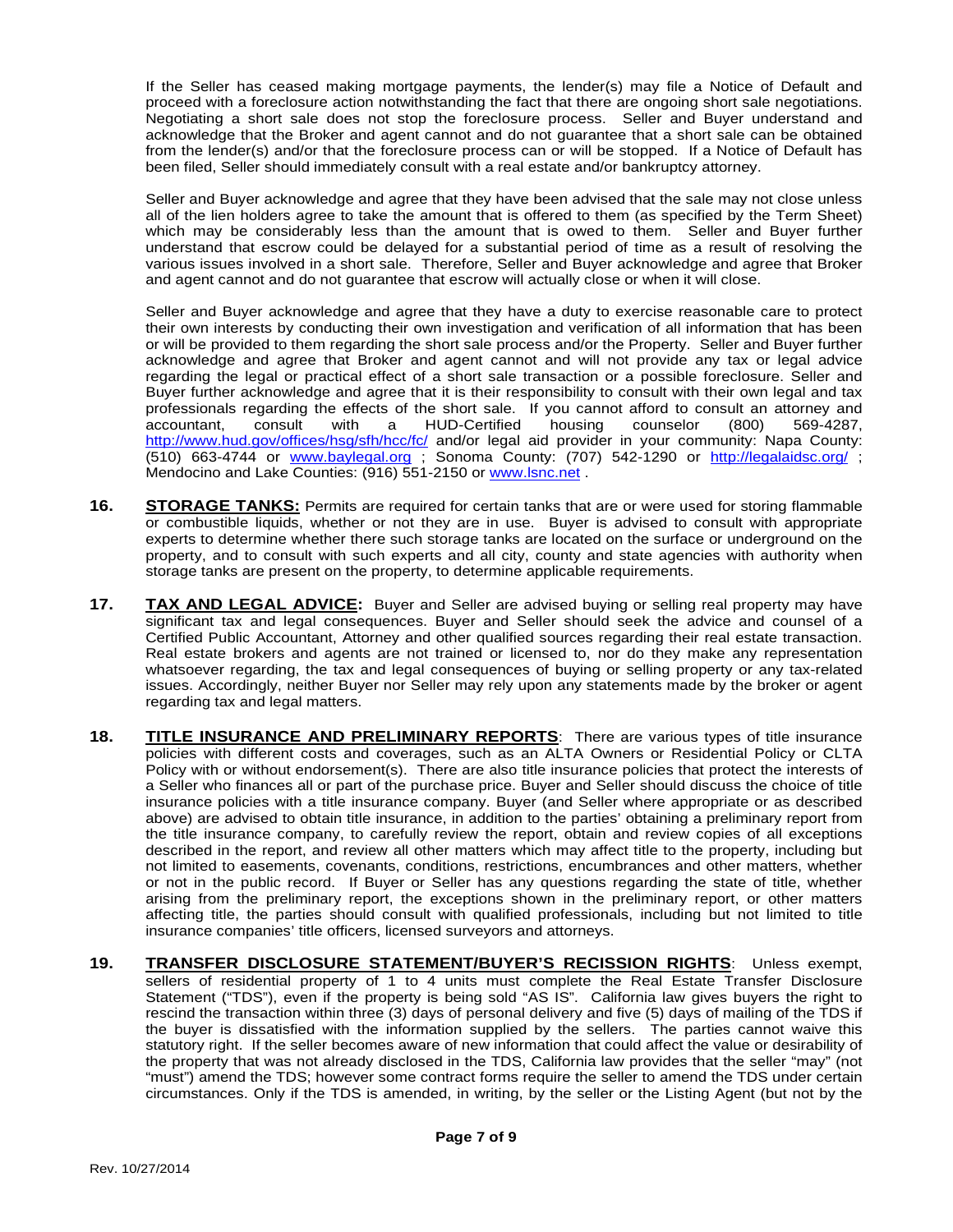If the Seller has ceased making mortgage payments, the lender(s) may file a Notice of Default and proceed with a foreclosure action notwithstanding the fact that there are ongoing short sale negotiations. Negotiating a short sale does not stop the foreclosure process. Seller and Buyer understand and acknowledge that the Broker and agent cannot and do not guarantee that a short sale can be obtained from the lender(s) and/or that the foreclosure process can or will be stopped. If a Notice of Default has been filed, Seller should immediately consult with a real estate and/or bankruptcy attorney.

Seller and Buyer acknowledge and agree that they have been advised that the sale may not close unless all of the lien holders agree to take the amount that is offered to them (as specified by the Term Sheet) which may be considerably less than the amount that is owed to them. Seller and Buyer further understand that escrow could be delayed for a substantial period of time as a result of resolving the various issues involved in a short sale. Therefore, Seller and Buyer acknowledge and agree that Broker and agent cannot and do not guarantee that escrow will actually close or when it will close.

Seller and Buyer acknowledge and agree that they have a duty to exercise reasonable care to protect their own interests by conducting their own investigation and verification of all information that has been or will be provided to them regarding the short sale process and/or the Property. Seller and Buyer further acknowledge and agree that Broker and agent cannot and will not provide any tax or legal advice regarding the legal or practical effect of a short sale transaction or a possible foreclosure. Seller and Buyer further acknowledge and agree that it is their responsibility to consult with their own legal and tax professionals regarding the effects of the short sale. If you cannot afford to consult an attorney and accountant, consult with a HUD-Certified housing counselor (800) 569-4287, accountant, consult with a HUD-Certified housing counselor (800) 569-4287, http://www.hud.gov/offices/hsg/sfh/hcc/fc/ and/or legal aid provider in your community: Napa County: (510) 663-4744 or www.baylegal.org ; Sonoma County: (707) 542-1290 or http://legalaidsc.org/ ; Mendocino and Lake Counties: (916) 551-2150 or www.lsnc.net .

- **16. STORAGE TANKS:** Permits are required for certain tanks that are or were used for storing flammable or combustible liquids, whether or not they are in use. Buyer is advised to consult with appropriate experts to determine whether there such storage tanks are located on the surface or underground on the property, and to consult with such experts and all city, county and state agencies with authority when storage tanks are present on the property, to determine applicable requirements.
- **17. TAX AND LEGAL ADVICE:** Buyer and Seller are advised buying or selling real property may have significant tax and legal consequences. Buyer and Seller should seek the advice and counsel of a Certified Public Accountant, Attorney and other qualified sources regarding their real estate transaction. Real estate brokers and agents are not trained or licensed to, nor do they make any representation whatsoever regarding, the tax and legal consequences of buying or selling property or any tax-related issues. Accordingly, neither Buyer nor Seller may rely upon any statements made by the broker or agent regarding tax and legal matters.
- **18. TITLE INSURANCE AND PRELIMINARY REPORTS**: There are various types of title insurance policies with different costs and coverages, such as an ALTA Owners or Residential Policy or CLTA Policy with or without endorsement(s). There are also title insurance policies that protect the interests of a Seller who finances all or part of the purchase price. Buyer and Seller should discuss the choice of title insurance policies with a title insurance company. Buyer (and Seller where appropriate or as described above) are advised to obtain title insurance, in addition to the parties' obtaining a preliminary report from the title insurance company, to carefully review the report, obtain and review copies of all exceptions described in the report, and review all other matters which may affect title to the property, including but not limited to easements, covenants, conditions, restrictions, encumbrances and other matters, whether or not in the public record. If Buyer or Seller has any questions regarding the state of title, whether arising from the preliminary report, the exceptions shown in the preliminary report, or other matters affecting title, the parties should consult with qualified professionals, including but not limited to title insurance companies' title officers, licensed surveyors and attorneys.
- **19. TRANSFER DISCLOSURE STATEMENT/BUYER'S RECISSION RIGHTS**: Unless exempt, sellers of residential property of 1 to 4 units must complete the Real Estate Transfer Disclosure Statement ("TDS"), even if the property is being sold "AS IS". California law gives buyers the right to rescind the transaction within three (3) days of personal delivery and five (5) days of mailing of the TDS if the buyer is dissatisfied with the information supplied by the sellers. The parties cannot waive this statutory right. If the seller becomes aware of new information that could affect the value or desirability of the property that was not already disclosed in the TDS, California law provides that the seller "may" (not "must") amend the TDS; however some contract forms require the seller to amend the TDS under certain circumstances. Only if the TDS is amended, in writing, by the seller or the Listing Agent (but not by the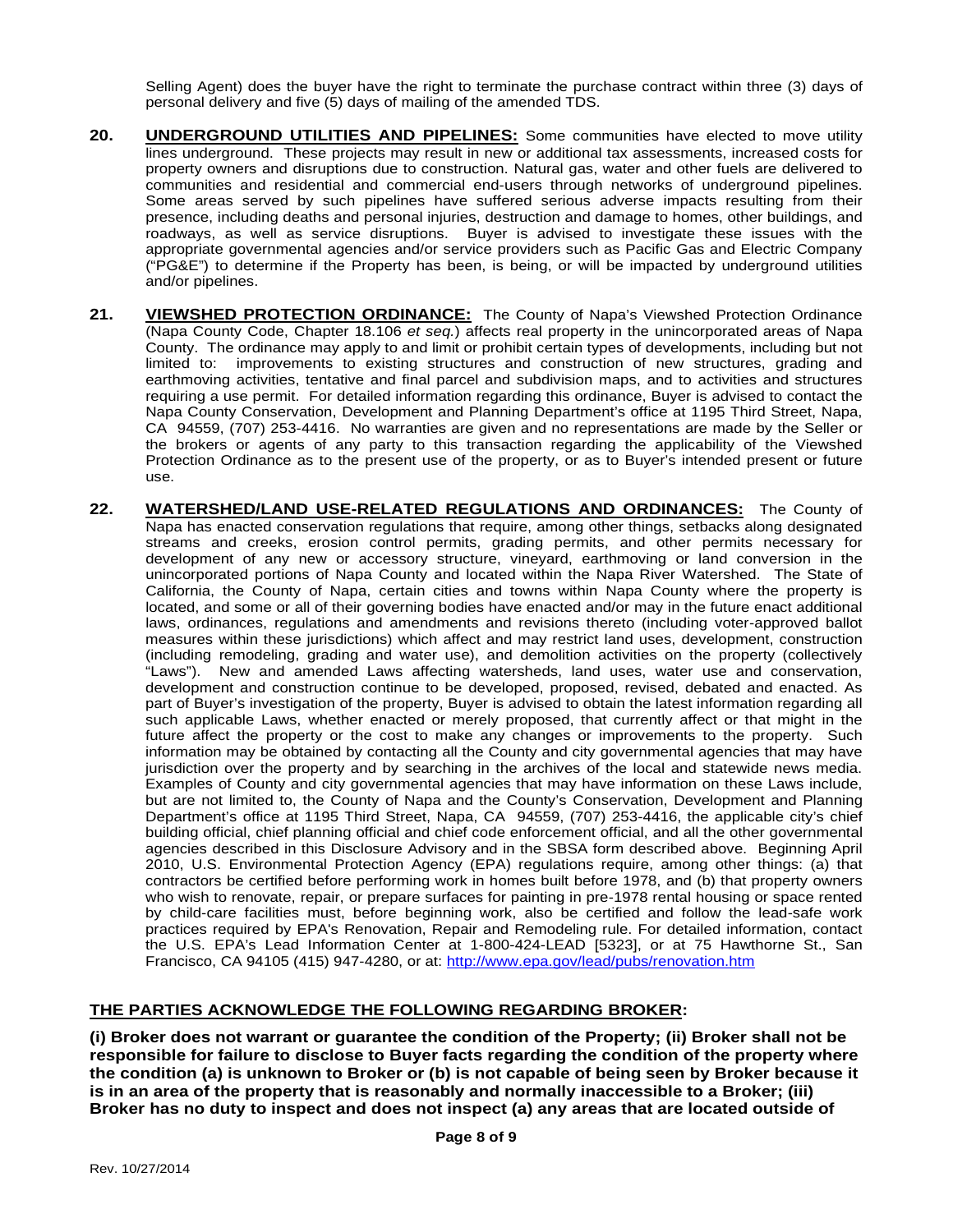Selling Agent) does the buyer have the right to terminate the purchase contract within three (3) days of personal delivery and five (5) days of mailing of the amended TDS.

- **20. UNDERGROUND UTILITIES AND PIPELINES:** Some communities have elected to move utility lines underground. These projects may result in new or additional tax assessments, increased costs for property owners and disruptions due to construction. Natural gas, water and other fuels are delivered to communities and residential and commercial end-users through networks of underground pipelines. Some areas served by such pipelines have suffered serious adverse impacts resulting from their presence, including deaths and personal injuries, destruction and damage to homes, other buildings, and roadways, as well as service disruptions. Buyer is advised to investigate these issues with the appropriate governmental agencies and/or service providers such as Pacific Gas and Electric Company ("PG&E") to determine if the Property has been, is being, or will be impacted by underground utilities and/or pipelines.
- **21. VIEWSHED PROTECTION ORDINANCE:** The County of Napa's Viewshed Protection Ordinance (Napa County Code, Chapter 18.106 *et seq.*) affects real property in the unincorporated areas of Napa County. The ordinance may apply to and limit or prohibit certain types of developments, including but not limited to: improvements to existing structures and construction of new structures, grading and earthmoving activities, tentative and final parcel and subdivision maps, and to activities and structures requiring a use permit. For detailed information regarding this ordinance, Buyer is advised to contact the Napa County Conservation, Development and Planning Department's office at 1195 Third Street, Napa, CA 94559, (707) 253-4416. No warranties are given and no representations are made by the Seller or the brokers or agents of any party to this transaction regarding the applicability of the Viewshed Protection Ordinance as to the present use of the property, or as to Buyer's intended present or future use.
- **22. WATERSHED/LAND USE-RELATED REGULATIONS AND ORDINANCES:** The County of Napa has enacted conservation regulations that require, among other things, setbacks along designated streams and creeks, erosion control permits, grading permits, and other permits necessary for development of any new or accessory structure, vineyard, earthmoving or land conversion in the unincorporated portions of Napa County and located within the Napa River Watershed. The State of California, the County of Napa, certain cities and towns within Napa County where the property is located, and some or all of their governing bodies have enacted and/or may in the future enact additional laws, ordinances, regulations and amendments and revisions thereto (including voter-approved ballot measures within these jurisdictions) which affect and may restrict land uses, development, construction (including remodeling, grading and water use), and demolition activities on the property (collectively "Laws"). New and amended Laws affecting watersheds, land uses, water use and conservation, development and construction continue to be developed, proposed, revised, debated and enacted. As part of Buyer's investigation of the property, Buyer is advised to obtain the latest information regarding all such applicable Laws, whether enacted or merely proposed, that currently affect or that might in the future affect the property or the cost to make any changes or improvements to the property. Such information may be obtained by contacting all the County and city governmental agencies that may have jurisdiction over the property and by searching in the archives of the local and statewide news media. Examples of County and city governmental agencies that may have information on these Laws include, but are not limited to, the County of Napa and the County's Conservation, Development and Planning Department's office at 1195 Third Street, Napa, CA 94559, (707) 253-4416, the applicable city's chief building official, chief planning official and chief code enforcement official, and all the other governmental agencies described in this Disclosure Advisory and in the SBSA form described above. Beginning April 2010, U.S. Environmental Protection Agency (EPA) regulations require, among other things: (a) that contractors be certified before performing work in homes built before 1978, and (b) that property owners who wish to renovate, repair, or prepare surfaces for painting in pre-1978 rental housing or space rented by child-care facilities must, before beginning work, also be certified and follow the lead-safe work practices required by EPA's Renovation, Repair and Remodeling rule. For detailed information, contact the U.S. EPA's Lead Information Center at 1-800-424-LEAD [5323], or at 75 Hawthorne St., San Francisco, CA 94105 (415) 947-4280, or at: http://www.epa.gov/lead/pubs/renovation.htm

## **THE PARTIES ACKNOWLEDGE THE FOLLOWING REGARDING BROKER:**

**(i) Broker does not warrant or guarantee the condition of the Property; (ii) Broker shall not be responsible for failure to disclose to Buyer facts regarding the condition of the property where the condition (a) is unknown to Broker or (b) is not capable of being seen by Broker because it is in an area of the property that is reasonably and normally inaccessible to a Broker; (iii) Broker has no duty to inspect and does not inspect (a) any areas that are located outside of**